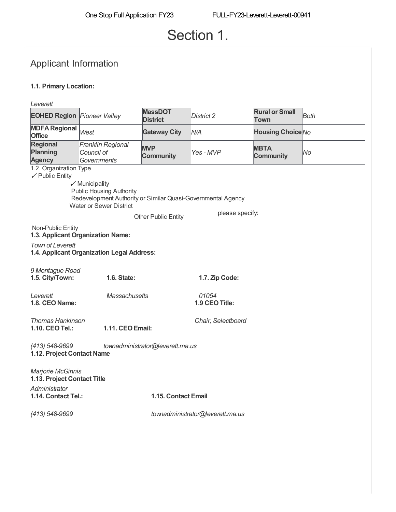# Section 1.

# Applicant Information

## **1.1. Primary Location:**

| Leverett                                                                                                                                                                                                                                |                                                |                                   |                                  |                                 |      |
|-----------------------------------------------------------------------------------------------------------------------------------------------------------------------------------------------------------------------------------------|------------------------------------------------|-----------------------------------|----------------------------------|---------------------------------|------|
| <b>EOHED Region Pioneer Valley</b>                                                                                                                                                                                                      |                                                | <b>MassDOT</b><br><b>District</b> | District 2                       | <b>Rural or Small</b><br>Town   | Both |
| <b>MDFA Regional</b><br><b>Office</b>                                                                                                                                                                                                   | West                                           | <b>Gateway City</b>               | N/A                              | <b>Housing Choice No</b>        |      |
| <b>Regional</b><br>Planning<br><b>Agency</b>                                                                                                                                                                                            | Franklin Regional<br>Council of<br>Governments | <b>MVP</b><br><b>Community</b>    | Yes-MVP                          | <b>MBTA</b><br><b>Community</b> | No   |
| 1.2. Organization Type<br>$\swarrow$ Public Entity<br>$\mathcal Y$ Municipality<br><b>Public Housing Authority</b><br>Redevelopment Authority or Similar Quasi-Governmental Agency<br><b>Water or Sewer District</b><br>please specify: |                                                |                                   |                                  |                                 |      |
| Non-Public Entity                                                                                                                                                                                                                       | 1.3. Applicant Organization Name:              | Other Public Entity               |                                  |                                 |      |
| <b>Town of Leverett</b>                                                                                                                                                                                                                 | 1.4. Applicant Organization Legal Address:     |                                   |                                  |                                 |      |
| 9 Montague Road<br>1.5. City/Town:                                                                                                                                                                                                      | 1.6. State:                                    |                                   | 1.7. Zip Code:                   |                                 |      |
| Leverett<br>1.8. CEO Name:                                                                                                                                                                                                              | <b>Massachusetts</b>                           |                                   | 01054<br>1.9 CEO Title:          |                                 |      |
| <b>Thomas Hankinson</b><br>1.10. CEO Tel.:                                                                                                                                                                                              | 1.11. CEO Email:                               |                                   | Chair, Selectboard               |                                 |      |
| (413) 548-9699<br>townadministrator@leverett.ma.us<br>1.12. Project Contact Name                                                                                                                                                        |                                                |                                   |                                  |                                 |      |
| Marjorie McGinnis<br>1.13. Project Contact Title                                                                                                                                                                                        |                                                |                                   |                                  |                                 |      |
| Administrator<br>1.14. Contact Tel.:                                                                                                                                                                                                    |                                                | 1.15. Contact Email               |                                  |                                 |      |
| (413) 548-9699                                                                                                                                                                                                                          |                                                |                                   | townadministrator@leverett.ma.us |                                 |      |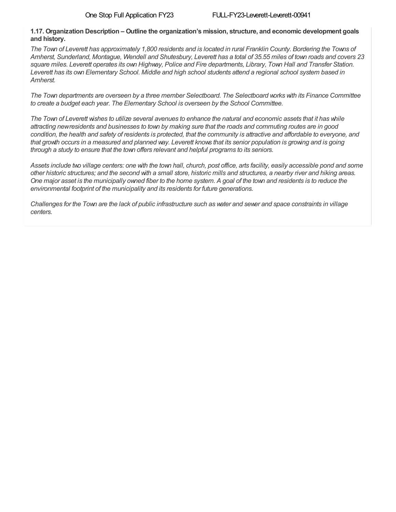#### **1.17. Organization Description – Outline the organization's mission, structure, and economic development goals and history.**

The Town of Leverett has approximately 1,800 residents and is located in rural Franklin County. Bordering the Towns of Amherst, Sunderland, Montague, Wendell and Shutesbury, Leverett has a total of 35.55 miles of town roads and covers 23 square miles. Leverett operates its own Highway, Police and Fire departments, Library, Town Hall and Transfer Station. Leverett has its own Elementary School. Middle and high school students attend a regional school system based in *Amherst.*

The Town departments are overseen by a three member Selectboard. The Selectboard works with its Finance Committee *to create a budget each year. The Elementary School is overseen by the School Committee.*

The Town of Leverett wishes to utilize several avenues to enhance the natural and economic assets that it has while attracting newresidents and businesses to town by making sure that the roads and commuting routes are in good condition, the health and safety of residents is protected, that the community is attractive and affordable to everyone, and that growth occurs in a measured and planned way. Leverett knows that its senior population is growing and is going *through a study to ensure that the town offers relevant and helpful programs to its seniors.*

Assets include two village centers: one with the town hall, church, post office, arts facility, easily accessible pond and some other historic structures; and the second with a small store, historic mills and structures, a nearby river and hiking areas. One major asset is the municipally owned fiber to the home system. A goal of the town and residents is to reduce the *environmental footprint of the municipality and its residents for future generations.*

Challenges for the Town are the lack of public infrastructure such as water and sewer and space constraints in village *centers.*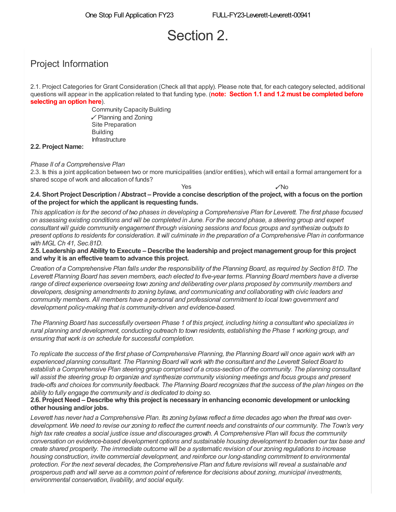# Section 2.

# Project Information

2.1. Project Categories for Grant Consideration (Check all that apply). Please note that, for each category selected, additional questions will appear in the application related to that funding type. (**note: Section 1.1 and 1.2 must be completed before selecting an option here**).

> Community Capacity Building ✓ Planning and Zoning Infrastructure Site Preparation Building

### **2.2. Project Name:**

### *Phase II of a Comprehensive Plan*

2.3. Is this a joint application between two or more municipalities (and/or entities), which will entail a formal arrangement for a shared scope of work and allocation of funds?

 $Yes$   $\sqrt{N}$ o 2.4. Short Project Description / Abstract – Provide a concise description of the project, with a focus on the portion **of the project for which the applicant is requesting funds.**

This application is for the second of two phases in developing a Comprehensive Plan for Leverett. The first phase focused on assessing existing conditions and will be completed in June. For the second phase, a steering group and expert *consultant will guide community engagement through visioning sessions and focus groups and synthesize outputs to* present options to residents for consideration. It will culminate in the preparation of a Comprehensive Plan in conformance *with MGL Ch 41, Sec.81D.*

2.5. Leadership and Ability to Execute – Describe the leadership and project management group for this project **and why it is an effective teamto advance this project.**

Creation of a Comprehensive Plan falls under the responsibility of the Planning Board, as required by Section 81D. The Leverett Planning Board has seven members, each elected to five-year terms. Planning Board members have a diverse *range of direct experience overseeing town zoning and deliberating over plans proposed by community members and developers, designing amendments to zoning bylaws, and communicating and collaborating with civic leaders and community members. All members have a personal and professional commitment to local town government and development policy-making that is community-driven and evidence-based.*

The Planning Board has successfully overseen Phase 1 of this project, including hiring a consultant who specializes in rural planning and development, conducting outreach to town residents, establishing the Phase 1 working group, and *ensuring that work is on schedule for successful completion.*

To replicate the success of the first phase of Comprehensive Planning, the Planning Board will once again work with an experienced planning consultant. The Planning Board will work with the consultant and the Leverett Select Board to establish a Comprehensive Plan steering group comprised of a cross-section of the community. The planning consultant will assist the steering group to organize and synthesize community visioning meetings and focus groups and present trade-offs and choices for community feedback. The Planning Board recognizes that the success of the plan hinges on the *ability to fully engage the community and is dedicated to doing so.*

#### **2.6. Project Need – Describe why this project is necessary in enhancing economic development or unlocking other housing and/or jobs.**

Leverett has never had a Comprehensive Plan. Its zoning bylaws reflect a time decades ago when the threat was overdevelopment. We need to revise our zoning to reflect the current needs and constraints of our community. The Town's very high tax rate creates a social justice issue and discourages growth. A Comprehensive Plan will focus the community *conversation on evidence-based development options and sustainable housing development to broaden our tax base and* create shared prosperity. The immediate outcome will be a systematic revision of our zoning regulations to increase *housing construction, invite commercial development, and reinforce our long-standing commitment to environmental* protection. For the next several decades, the Comprehensive Plan and future revisions will reveal a sustainable and prosperous path and will serve as a common point of reference for decisions about zoning, municipal investments, *environmental conservation, livability, and social equity.*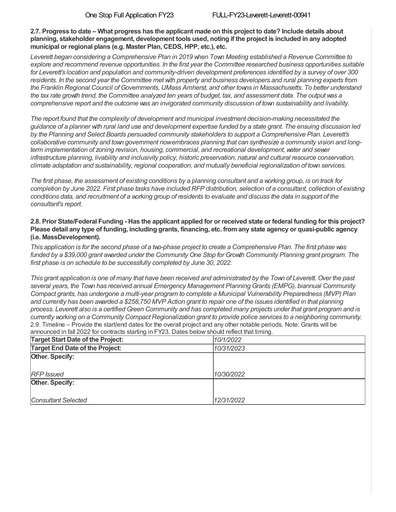2.7. Progress to date – What progress has the applicant made on this project to date? Include details about **planning, stakeholder engagement, development tools used, noting if the project is included in any adopted municipal or regional plans (e.g. Master Plan, CEDS, HPP, etc.), etc.**

*Leverett began considering a Comprehensive Plan in 2019 when Town Meeting established a Revenue Committee to explore and recommend revenue opportunities. In the first year the Committee researched business opportunities suitable* for Leverett's location and population and community-driven development preferences identified by a survey of over 300 residents. In the second year the Committee met with property and business developers and rural planning experts from the Franklin Regional Council of Governments, UMass Amherst, and other towns in Massachusetts. To better understand the tax rate growth trend, the Committee analyzed ten years of budget, tax, and assessment data. The output was a *comprehensive report and the outcome was an invigorated community discussion of town sustainability and livability.*

*The report found that the complexity of development and municipal investment decision-making necessitated the* guidance of a planner with rural land use and development expertise funded by a state grant. The ensuing discussion led *by the Planning and Select Boards persuaded community stakeholders to support a Comprehensive Plan. Leverett's collaborative community and town government nowembraces planning that can synthesize a community vision and longterm implementation of zoning revision, housing, commercial, and recreational development, water and sewer infrastructure planning, livability and inclusivity policy, historic preservation, natural and cultural resource conservation, climate adaptation and sustainability, regional cooperation, and mutually beneficial regionalization of town services.*

The first phase, the assessment of existing conditions by a planning consultant and a working group, is on track for completion by June 2022. First phase tasks have included RFP distribution, selection of a consultant, collection of existing conditions data, and recruitment of a working group of residents to evaluate and discuss the data in support of the *consultant's report.*

### 2.8. Prior State/Federal Funding - Has the applicant applied for or received state or federal funding for this project? **Please detail any type of funding, including grants, financing, etc. fromany state agency or quasi-public agency (i.e. MassDevelopment).**

This application is for the second phase of a two-phase project to create a Comprehensive Plan. The first phase was funded by a \$39,000 grant awarded under the Community One Stop for Growth Community Planning grant program. The *first phase is on schedule to be successfully completed by June 30, 2022.*

This grant application is one of many that have been received and administrated by the Town of Leverett. Over the past *several years, the Town has received annual Emergency Management Planning Grants (EMPG), biannual Community Compact grants, has undergone a multi-year program to complete a Municipal Vulnerability Preparedness (MVP) Plan* and currently has been awarded a \$258,750 MVP Action grant to repair one of the issues identified in that planning process. Leverett also is a certified Green Community and has completed many projects under that grant program and is currently working on a Community Compact Regionalization grant to provide police services to a neighboring community. 2.9. Timeline – Provide the start/end dates for the overall project and any other notable periods. Note: Grants will be announced in fall 2022 for contracts starting in FY23. Dates below should reflect that timing.

| <b>Target Start Date of the Project:</b> | 10/1/2022  |
|------------------------------------------|------------|
| Target End Date of the Project:          | 10/31/2023 |
| Other. Specify:                          |            |
|                                          |            |
| <b>RFP</b> Issued                        | 10/30/2022 |
| Other. Specify:                          |            |
|                                          |            |
| Consultant Selected                      | 12/31/2022 |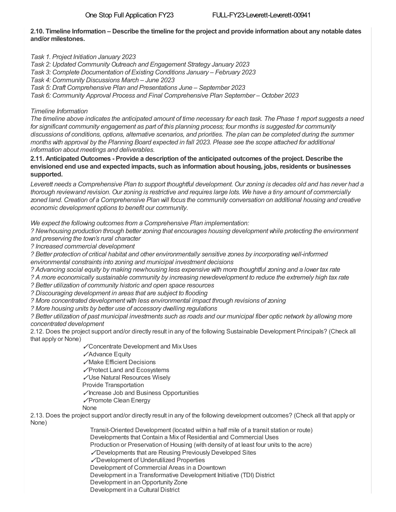## 2.10. Timeline Information – Describe the timeline for the project and provide information about any notable dates **and/or milestones.**

*Task 1. Project Initiation January 2023*

*Task 2: Updated Community Outreach and Engagement Strategy January 2023*

*Task 3: Complete Documentation of Existing Conditions January – February 2023*

*Task 4: Community Discussions March – June 2023*

*Task 5: Draft Comprehensive Plan and Presentations June – September 2023*

*Task 6: Community Approval Process and Final Comprehensive Plan September – October 2023*

## *Timeline Information*

The timeline above indicates the anticipated amount of time necessary for each task. The Phase 1 report suggests a need *for significant community engagement as part of this planning process; four months is suggested for community* discussions of conditions, options, alternative scenarios, and priorities. The plan can be completed during the summer months with approval by the Planning Board expected in fall 2023. Please see the scope attached for additional *information about meetings and deliverables.*

**2.11. Anticipated Outcomes - Provide a description of the anticipated outcomes of the project. Describe the envisioned end use and expected impacts, such as information about housing, jobs, residents or businesses supported.**

Leverett needs a Comprehensive Plan to support thoughtful development. Our zoning is decades old and has never had a thorough reviewand revision. Our zoning is restrictive and requires large lots. We have a tiny amount of commercially zoned land. Creation of a Comprehensive Plan will focus the community conversation on additional housing and creative *economic development options to benefit our community.*

*We expect the following outcomes from a Comprehensive Plan implementation:*

*? Newhousing production through better zoning that encourages housing development while protecting the environment and preserving the town's rural character*

*? Increased commercial development*

*? Better protection of critical habitat and other environmentally sensitive zones by incorporating well-informed environmental constraints into zoning and municipal investment decisions*

? Advancing social equity by making newhousing less expensive with more thoughtful zoning and a lower tax rate

*? A more economically sustainable community by increasing newdevelopment to reduce the extremely high tax rate*

*? Better utilization of community historic and open space resources*

*? Discouraging development in areas that are subject to flooding*

*? More concentrated development with less environmental impact through revisions of zoning*

*? More housing units by better use of accessory dwelling regulations*

? Better utilization of past municipal investments such as roads and our municipal fiber optic network by allowing more *concentrated development*

2.12. Does the project support and/or directly result in any of the following Sustainable Development Principals? (Check all that apply or None)

✓Concentrate Development and Mix Uses

✓Advance Equity

✓Make Efficient Decisions

✓Protect Land and Ecosystems

✓Use Natural Resources Wisely

Provide Transportation

✓Increase Job and Business Opportunities

✓Promote Clean Energy

## None

2.13. Does the project support and/or directly result in any of the following development outcomes? (Check all that apply or None)

Transit-Oriented Development (located within a half mile of a transit station or route)

Developments that Contain a Mix of Residential and Commercial Uses

Production or Preservation of Housing (with density of at least four units to the acre)

✓Developments that are Reusing Previously Developed Sites

✓Development of Underutilized Properties

Development of Commercial Areas in a Downtown

Development in a Transformative Development Initiative (TDI) District

Development in an Opportunity Zone

Development in a Cultural District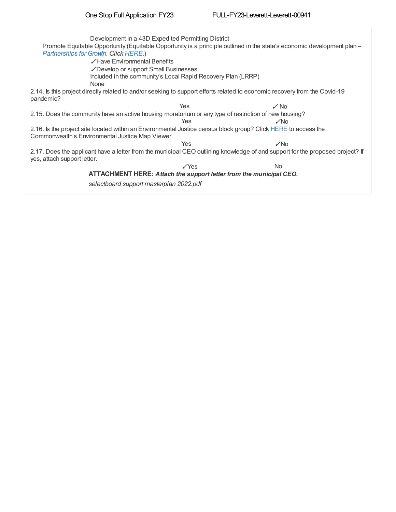Development in a 43D Expedited Permitting District Promote Equitable Opportunity (Equitable Opportunity is a principle outlined in the state's economic development plan – *[Partnerships](https://www.mass.gov/info-details/partnerships-for-growth) for Growth. Click [HERE](https://www.mass.gov/info-details/partnerships-for-growth).*) ✓Have Environmental Benefits ✓Develop or support Small Businesses 2.14. Is this project directly related to and/or seeking to support efforts related to economic recovery from the Covid-19 pandemic? 2.15. Does the community have an active housing moratorium or any type of restriction of new housing? ✓No 2.16. Is the project site located within an Environmental Justice census block group? Click [HERE](file:///C:/windows/TEMP/%20https://mass-eoeea.maps.arcgis.com/apps/webappviewer/index.html?id=1d6f63e7762a48e5930de84ed4849212) to access the Commonwealth's Environmental Justice Map Viewer. 2.17. Does the applicant have a letter from the municipal CEO outlining knowledge of and support for the proposed project? If yes, attach support letter. No Included in the community's Local Rapid Recovery Plan (LRRP) None  $Yes$   $V$  No Yes  $Yes$   $\sqrt{N}$ o ✓Yes **ATTACHMENT HERE:** *Attach the support letter from the municipal CEO.*

*selectboard support masterplan 2022.pdf*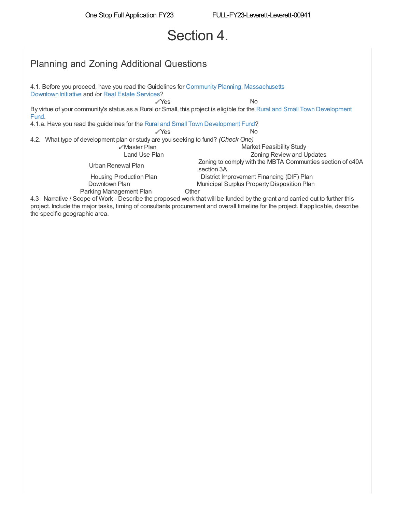# Section 4.

## Planning and Zoning Additional Questions

4.1. Before you proceed, have you read the Guidelines for [Community](https://www.mass.gov/service-details/planning-and-zoning-grants) Planning, [Massachusetts](https://www.mass.gov/service-details/massachusetts-downtown-initiative-mdi) Downtown Initiative and /or Real Estate [Services](https://www.massdevelopment.com/what-we-offer/real-estate-services/technical-assistance/)? ✓Yes By virtue of your community's status as a Rural or Small, this project is eligible for the Rural and Small Town [Development](https://www.mass.gov/service-details/rural-and-small-town-grants) Fund. 4.1.a. Have you read the guidelines for the Rural and Small Town [Development](https://www.mass.gov/service-details/rural-and-small-town-grants) Fund? ✓Yes 4.2. What type of development plan or study are you seeking to fund? *(Check One)* ✓Master Plan Market Feasibility Study Zoning Review and Updates Urban Renewal Plan Zoning to comply with the MBTA Communties section of c40A section 3A Housing Production Plan Downtown Plan Municipal Surplus Property Disposition Plan No No District Improvement Financing (DIF) Plan Parking Management Plan

4.3 Narrative / Scope of Work - Describe the proposed work that will be funded by the grant and carried out to further this project. Include the major tasks, timing of consultants procurement and overall timeline for the project. If applicable, describe the specific geographic area.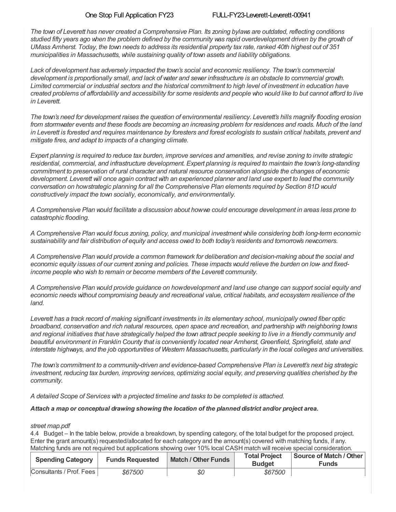The town of Leverett has never created a Comprehensive Plan. Its zoning bylaws are outdated, reflecting conditions studied fifty years ago when the problem defined by the community was rapid overdevelopment driven by the growth of UMass Amherst. Today, the town needs to address its residential property tax rate, ranked 40th highest out of 351 *municipalities in Massachusetts, while sustaining quality of town assets and liability obligations.*

*Lack of development has adversely impacted the town's social and economic resiliency. The town's commercial* development is proportionally small, and lack of vater and sever infrastructure is an obstacle to commercial growth. Limited commercial or industrial sectors and the historical commitment to high level of investment in education have created problems of affordability and accessibility for some residents and people who would like to but cannot afford to live *in Leverett.*

The town's need for development raises the question of environmental resiliency. Leverett's hills magnify flooding erosion from stormwater events and these floods are becoming an increasing problem for residences and roads. Much of the land in Leverett is forested and requires maintenance by foresters and forest ecologists to sustain critical habitats, prevent and *mitigate fires, and adapt to impacts of a changing climate.*

Expert planning is required to reduce tax burden, improve services and amenities, and revise zoning to invite strategic *residential, commercial, and infrastructure development. Expert planning is required to maintain the town's long-standing commitment to preservation of rural character and natural resource conservation alongside the changes of economic* development. Leverett will once again contract with an experienced planner and land use expert to lead the community *conversation on howstrategic planning for all the Comprehensive Plan elements required by Section 81D would constructively impact the town socially, economically, and environmentally.*

A Comprehensive Plan would facilitate a discussion about howwe could encourage development in areas less prone to *catastrophic flooding.*

*A Comprehensive Plan would focus zoning, policy, and municipal investment while considering both long-term economic* sustainability and fair distribution of equity and access owed to both today's residents and tomorrow's newcomers.

*A Comprehensive Plan would provide a common framework for deliberation and decision-making about the social and* economic equity issues of our current zoning and policies. These impacts would relieve the burden on low-and fixed*income people who wish to remain or become members of the Leverett community.*

A Comprehensive Plan would provide guidance on how development and land use change can support social equity and *economic needs without compromising beauty and recreational value, critical habitats, and ecosystem resilience of the land.*

Leverett has a track record of making significant investments in its elementary school, municipally owned fiber optic *broadband, conservation and rich natural resources, open space and recreation, and partnership with neighboring towns* and regional initiatives that have strategically helped the town attract people seeking to live in a friendly community and *beautiful environment in Franklin County that is conveniently located near Amherst, Greenfield, Springfield, state and* interstate highways, and the job opportunities of Western Massachusetts, particularly in the local colleges and universities.

*The town's commitment to a community-driven and evidence-based Comprehensive Plan is Leverett's next big strategic* investment, reducing tax burden, improving services, optimizing social equity, and preserving qualities cherished by the *community.*

*A detailed Scope of Services with a projected timeline and tasks to be completed is attached.*

#### *Attach a map or conceptual drawing showing the location of the planned district and/or project area.*

#### *street map.pdf*

4.4 Budget – In the table below, provide a breakdown, by spending category, of the total budget for the proposed project. Enter the grant amount(s) requested/allocated for each category and the amount(s) covered with matching funds, if any. Matching funds are not required but applications showing over 10% local CASH match will receive special consideration.

| <b>Spending Category</b> | <b>Funds Requested</b> | <b>Match / Other Funds</b> | <b>Total Project</b><br><b>Budget</b> | Source of Match / Other<br><b>Funds</b> |
|--------------------------|------------------------|----------------------------|---------------------------------------|-----------------------------------------|
| Consultants / Prof. Fees | \$67500                | \$0                        | \$67500                               |                                         |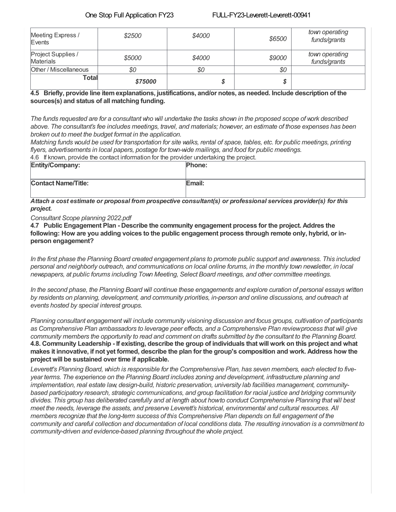| Meeting Express /<br>Events            | \$2500  | \$4000 | \$6500 | town operating<br>funds/grants |
|----------------------------------------|---------|--------|--------|--------------------------------|
| Project Supplies /<br><b>Materials</b> | \$5000  | \$4000 | \$9000 | town operating<br>funds/grants |
| Other / Miscellaneous                  | \$0     | \$0    | \$0    |                                |
| Total                                  | \$75000 |        |        |                                |

### **4.5 Briefly, provide line itemexplanations, justifications, and/or notes, as needed. Include description of the sources(s) and status of all matching funding.**

The funds requested are for a consultant who will undertake the tasks shown in the proposed scope of work described above. The consultant's fee includes meetings, travel, and materials; however, an estimate of those expenses has been *broken out to meet the budget format in the application.*

4.6 If known, provide the contact information for the provider undertaking the project. Matching funds would be used for transportation for site walks, rental of space, tables, etc. for public meetings, printing *flyers, advertisements in local papers, postage for town-wide mailings, and food for public meetings.*

| 4.6 If Known, provide the contact miormation for the provider undertaking the project. |               |  |
|----------------------------------------------------------------------------------------|---------------|--|
| Entity/Company:                                                                        | <b>Phone:</b> |  |
|                                                                                        |               |  |
|                                                                                        |               |  |
|                                                                                        |               |  |
| <b>Contact Name/Title:</b>                                                             | Email:        |  |
|                                                                                        |               |  |
|                                                                                        |               |  |
|                                                                                        |               |  |

*Attach a cost estimate or proposal from prospective consultant(s) or professional services provider(s) for this project.*

*Consultant Scope planning 2022.pdf*

**4.7 Public Engagement Plan - Describe the community engagement process for the project. Addres the** following: How are you adding voices to the public engagement process through remote only, hybrid, or in**person engagement?**

In the first phase the Planning Board created engagement plans to promote public support and awareness. This included personal and neighborly outreach, and communications on local online forums, in the monthly town newsletter, in local *newspapers, at public forums including Town Meeting, Select Board meetings, and other committee meetings.*

In the second phase, the Planning Board will continue these engagements and explore curation of personal essays written *by residents on planning, development, and community priorities, in-person and online discussions, and outreach at events hosted by special interest groups.*

*Planning consultant engagement will include community visioning discussion and focus groups, cultivation of participants* as Comprehensive Plan ambassadors to leverage peer effects, and a Comprehensive Plan reviewprocess that will give community members the opportunity to read and comment on drafts submitted by the consultant to the Planning Board. 4.8. Community Leadership - If existing, describe the group of individuals that will work on this project and what makes it innovative, if not yet formed, describe the plan for the group's composition and work. Address how the **project will be sustained over time if applicable.**

Leverett's Planning Board, which is responsible for the Comprehensive Plan, has seven members, each elected to five*year terms. The experience on the Planning Board includes zoning and development, infrastructure planning and implementation, real estate law, design-build, historic preservation, university lab facilities management, communitybased participatory research, strategic communications, and group facilitation for racial justice and bridging community* divides. This group has deliberated carefully and at length about howto conduct Comprehensive Planning that will best *meet the needs, leverage the assets, and preserve Leverett's historical, environmental and cultural resources. All members recognize that the long-term success of this Comprehensive Plan depends on full engagement of the* community and careful collection and documentation of local conditions data. The resulting innovation is a commitment to *community-driven and evidence-based planning throughout the whole project.*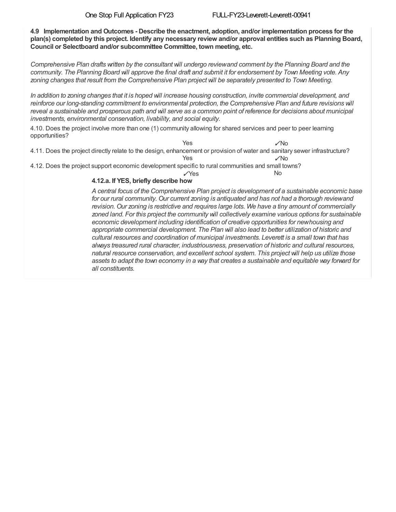**4.9 Implementation and Outcomes - Describe the enactment, adoption, and/or implementation process for the** plan(s) completed by this project. Identify any necessary review and/or approval entities such as Planning Board, **Council or Selectboard and/or subcommittee Committee, town meeting, etc.**

Comprehensive Plan drafts written by the consultant will undergo reviewand comment by the Planning Board and the community. The Planning Board will approve the final draft and submit it for endorsement by Town Meeting vote. Any *zoning changes that result from the Comprehensive Plan project will be separately presented to Town Meeting.*

In addition to zoning changes that it is hoped will increase housing construction, invite commercial development, and *reinforce our long-standing commitment to environmental protection, the Comprehensive Plan and future revisions will* reveal a sustainable and prosperous path and will serve as a common point of reference for decisions about municipal *investments, environmental conservation, livability, and social equity.*

4.10. Does the project involve more than one (1) community allowing for shared services and peer to peer learning opportunities?

✓No 4.11. Does the project directly relate to the design, enhancement or provision of water and sanitary sewer infrastructure? ✓No Yes Yes

4.12. Does the project support economic development specific to rural communities and small towns?

 $N<sub>0</sub>$ ✓Yes

### **4.12.a. If YES, briefly describe how**

*A central focus of the Comprehensive Plan project is development of a sustainable economic base for our rural community. Our current zoning is antiquated and has not had a thorough reviewand revision. Our zoning is restrictive and requires large lots. We have a tiny amount of commercially zoned land. For this project the community will collectively examine various options for sustainable economic development including identification of creative opportunities for newhousing and appropriate commercial development. The Plan will also lead to better utilization of historic and cultural resources and coordination of municipal investments. Leverett is a small town that has always treasured rural character, industriousness, preservation of historic and cultural resources, natural resource conservation, and excellent school system. This project will help us utilize those assets to adapt the town economy in a way that creates a sustainable and equitable way forward for all constituents.*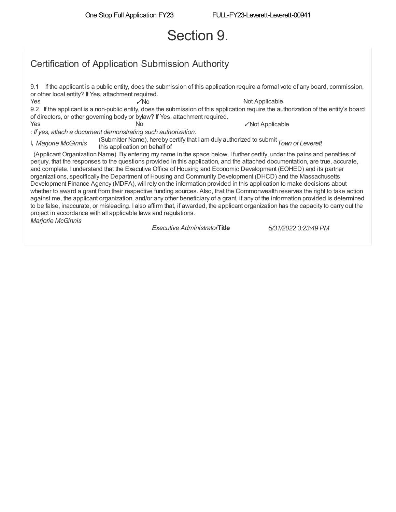# Section 9.

# Certification of Application Submission Authority

9.1 If the applicant is a public entity, does the submission of this application require a formal vote of any board, commission, or other local entity? If Yes, attachment required. Yes ✓No Not Applicable 9.2 If the applicant is a non-public entity, does the submission of this application require the authorization of the entity's board of directors, or other governing body or bylaw? If Yes, attachment required. Yes and the No ∴not Applicable No ∴not Applicable and the No : *If yes, attach a document demonstrating such authorization.* I, *Marjorie McGinnis* (Submitter Name), hereby certify that I am duly authorized to submit *Town of Leverett* this application on behalf of (Applicant Organization Name). By entering my name in the space below, I further certify, under the pains and penalties of perjury, that the responses to the questions provided in this application, and the attached documentation, are true, accurate, and complete. I understand that the Executive Office of Housing and Economic Development (EOHED) and its partner organizations, specifically the Department of Housing and Community Development (DHCD) and the Massachusetts Development Finance Agency (MDFA), will rely on the information provided in this application to make decisions about whether to award a grant from their respective funding sources. Also, that the Commonwealth reserves the right to take action against me, the applicant organization, and/or any other beneficiary of a grant, if any of the information provided is determined to be false, inaccurate, or misleading. I also affirm that, if awarded, the applicant organization has the capacity to carry out the project in accordance with all applicable laws and regulations. *Marjorie McGinnis*

*Executive Administrator***Title** *5/31/2022 3:23:49 PM*